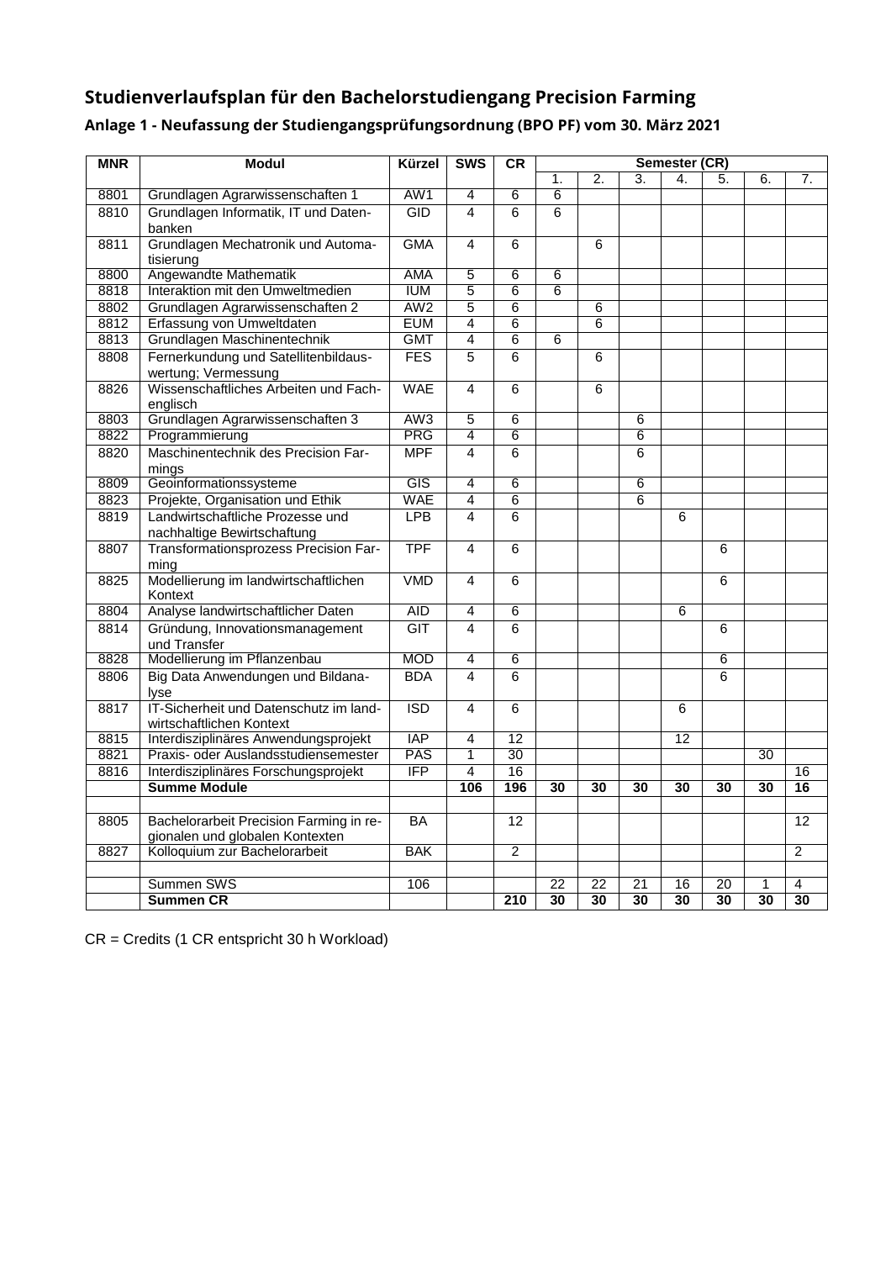## **Studienverlaufsplan für den Bachelorstudiengang Precision Farming**

| <b>MNR</b>   | <b>Modul</b>                                                         | Kürzel                   | <b>SWS</b>                       | <b>CR</b>             |                | Semester (CR)    |                 |                 |                 |    |                       |  |  |
|--------------|----------------------------------------------------------------------|--------------------------|----------------------------------|-----------------------|----------------|------------------|-----------------|-----------------|-----------------|----|-----------------------|--|--|
|              |                                                                      |                          |                                  |                       | 1.             | $\overline{2}$ . | 3.              | 4.              | 5.              | 6. | 7.                    |  |  |
| 8801         | Grundlagen Agrarwissenschaften 1                                     | AW1                      | $\overline{4}$                   | 6                     | $\overline{6}$ |                  |                 |                 |                 |    |                       |  |  |
| 8810         | Grundlagen Informatik, IT und Daten-                                 | GID                      | $\overline{4}$                   | 6                     | 6              |                  |                 |                 |                 |    |                       |  |  |
|              | banken                                                               |                          |                                  |                       |                |                  |                 |                 |                 |    |                       |  |  |
| 8811         | Grundlagen Mechatronik und Automa-                                   | <b>GMA</b>               | $\overline{4}$                   | 6                     |                | 6                |                 |                 |                 |    |                       |  |  |
|              | tisierung                                                            | <b>AMA</b>               | $\overline{5}$                   |                       |                |                  |                 |                 |                 |    |                       |  |  |
| 8800<br>8818 | Angewandte Mathematik<br>Interaktion mit den Umweltmedien            | <b>IUM</b>               | $\overline{5}$                   | 6<br>6                | 6<br>6         |                  |                 |                 |                 |    |                       |  |  |
| 8802         | Grundlagen Agrarwissenschaften 2                                     | AW2                      | 5                                | 6                     |                | 6                |                 |                 |                 |    |                       |  |  |
| 8812         | Erfassung von Umweltdaten                                            | <b>EUM</b>               | $\overline{4}$                   | 6                     |                | 6                |                 |                 |                 |    |                       |  |  |
| 8813         | Grundlagen Maschinentechnik                                          | <b>GMT</b>               | $\overline{4}$                   | $\overline{6}$        | 6              |                  |                 |                 |                 |    |                       |  |  |
| 8808         | Fernerkundung und Satellitenbildaus-                                 | <b>FES</b>               | 5                                | 6                     |                | 6                |                 |                 |                 |    |                       |  |  |
|              | wertung; Vermessung                                                  |                          |                                  |                       |                |                  |                 |                 |                 |    |                       |  |  |
| 8826         | Wissenschaftliches Arbeiten und Fach-                                | <b>WAE</b>               | $\overline{4}$                   | 6                     |                | 6                |                 |                 |                 |    |                       |  |  |
|              | englisch                                                             |                          |                                  |                       |                |                  |                 |                 |                 |    |                       |  |  |
| 8803         | Grundlagen Agrarwissenschaften 3                                     | AW <sub>3</sub>          | $\overline{5}$                   | 6                     |                |                  | 6               |                 |                 |    |                       |  |  |
| 8822         | Programmierung                                                       | PRG                      | $\overline{4}$                   | 6                     |                |                  | 6               |                 |                 |    |                       |  |  |
| 8820         | Maschinentechnik des Precision Far-                                  | <b>MPF</b>               | $\overline{4}$                   | 6                     |                |                  | 6               |                 |                 |    |                       |  |  |
|              | minas                                                                |                          |                                  |                       |                |                  |                 |                 |                 |    |                       |  |  |
| 8809         | Geoinformationssysteme                                               | <b>GIS</b><br><b>WAE</b> | $\overline{4}$                   | $6\overline{6}$       |                |                  | 6               |                 |                 |    |                       |  |  |
| 8823         | Projekte, Organisation und Ethik<br>Landwirtschaftliche Prozesse und |                          | $\overline{4}$<br>$\overline{4}$ | 6                     |                |                  | 6               |                 |                 |    |                       |  |  |
| 8819         |                                                                      | <b>LPB</b>               |                                  | 6                     |                |                  |                 | 6               |                 |    |                       |  |  |
| 8807         | nachhaltige Bewirtschaftung<br>Transformationsprozess Precision Far- | <b>TPF</b>               | $\overline{4}$                   | 6                     |                |                  |                 |                 | 6               |    |                       |  |  |
|              | mina                                                                 |                          |                                  |                       |                |                  |                 |                 |                 |    |                       |  |  |
| 8825         | Modellierung im landwirtschaftlichen                                 | <b>VMD</b>               | $\overline{4}$                   | 6                     |                |                  |                 |                 | 6               |    |                       |  |  |
|              | Kontext                                                              |                          |                                  |                       |                |                  |                 |                 |                 |    |                       |  |  |
| 8804         | Analyse landwirtschaftlicher Daten                                   | <b>AID</b>               | 4                                | 6                     |                |                  |                 | 6               |                 |    |                       |  |  |
| 8814         | Gründung, Innovationsmanagement                                      | <b>GIT</b>               | $\overline{4}$                   | 6                     |                |                  |                 |                 | 6               |    |                       |  |  |
|              | und Transfer                                                         |                          |                                  |                       |                |                  |                 |                 |                 |    |                       |  |  |
| 8828         | Modellierung im Pflanzenbau                                          | <b>MOD</b>               | $\overline{4}$                   | 6                     |                |                  |                 |                 | 6               |    |                       |  |  |
| 8806         | Big Data Anwendungen und Bildana-<br><b>lyse</b>                     | <b>BDA</b>               | $\overline{\mathbf{4}}$          | 6                     |                |                  |                 |                 | 6               |    |                       |  |  |
| 8817         | IT-Sicherheit und Datenschutz im land-                               | <b>ISD</b>               | $\overline{4}$                   | 6                     |                |                  |                 | 6               |                 |    |                       |  |  |
|              | wirtschaftlichen Kontext                                             |                          |                                  |                       |                |                  |                 |                 |                 |    |                       |  |  |
| 8815         | Interdisziplinäres Anwendungsprojekt                                 | <b>IAP</b>               | 4                                | $\overline{12}$       |                |                  |                 | $\overline{12}$ |                 |    |                       |  |  |
| 8821         | Praxis- oder Auslandsstudiensemester                                 | <b>PAS</b><br>IFP        | 1                                | $\overline{30}$<br>16 |                |                  |                 |                 |                 | 30 |                       |  |  |
| 8816         | Interdisziplinäres Forschungsprojekt<br><b>Summe Module</b>          |                          | $\overline{4}$<br>106            | 196                   |                | 30               | 30              |                 | 30              |    | 16<br>$\overline{16}$ |  |  |
|              |                                                                      |                          |                                  |                       | 30             |                  |                 | 30              |                 | 30 |                       |  |  |
| 8805         | Bachelorarbeit Precision Farming in re-                              | BA                       |                                  | 12                    |                |                  |                 |                 |                 |    | 12                    |  |  |
|              | gionalen und globalen Kontexten                                      |                          |                                  |                       |                |                  |                 |                 |                 |    |                       |  |  |
| 8827         | Kolloquium zur Bachelorarbeit                                        | <b>BAK</b>               |                                  | $\overline{2}$        |                |                  |                 |                 |                 |    | $\overline{2}$        |  |  |
|              |                                                                      |                          |                                  |                       |                |                  |                 |                 |                 |    |                       |  |  |
|              | Summen SWS                                                           | 106                      |                                  |                       | 22             | 22               | $\overline{21}$ | 16              | 20              | 1  | 4                     |  |  |
|              | <b>Summen CR</b>                                                     |                          |                                  | $\overline{210}$      | 30             | $\overline{30}$  | $\overline{30}$ | $\overline{30}$ | $\overline{30}$ | 30 | 30                    |  |  |

## **Anlage 1 - Neufassung der Studiengangsprüfungsordnung (BPO PF) vom 30. März 2021**

CR = Credits (1 CR entspricht 30 h Workload)